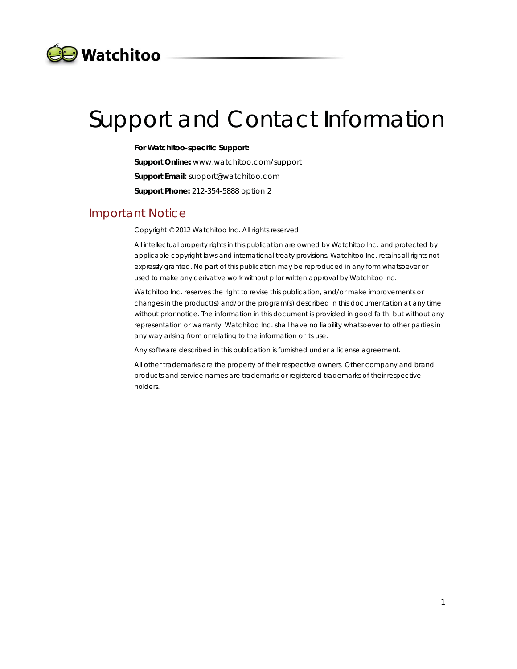

# Support and Contact Information

**For Watchitoo-specific Support:** 

**Support Online:** www.watchitoo.com/support **Support Email:** support@watchitoo.com

**Support Phone:** 212-354-5888 option 2

#### Important Notice

Copyright © 2012 Watchitoo Inc. All rights reserved.

All intellectual property rights in this publication are owned by Watchitoo Inc. and protected by applicable copyright laws and international treaty provisions. Watchitoo Inc. retains all rights not expressly granted. No part of this publication may be reproduced in any form whatsoever or used to make any derivative work without prior written approval by Watchitoo Inc.

Watchitoo Inc. reserves the right to revise this publication, and/or make improvements or changes in the product(s) and/or the program(s) described in this documentation at any time without prior notice. The information in this document is provided in good faith, but without any representation or warranty. Watchitoo Inc. shall have no liability whatsoever to other parties in any way arising from or relating to the information or its use.

Any software described in this publication is furnished under a license agreement.

All other trademarks are the property of their respective owners. Other company and brand products and service names are trademarks or registered trademarks of their respective holders.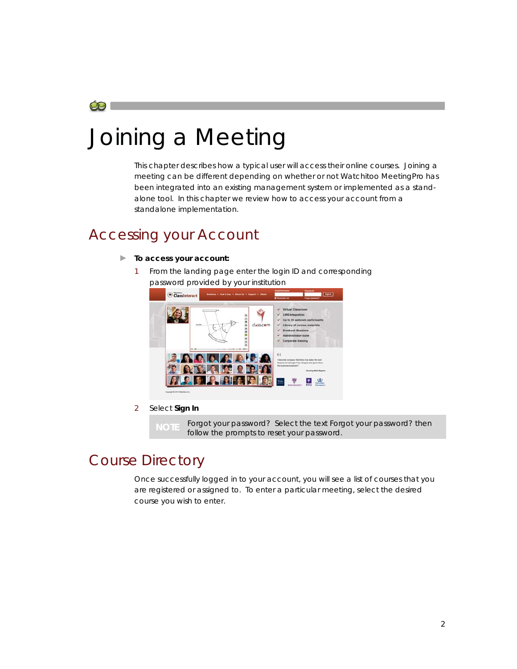

# Joining a Meeting

This chapter describes how a typical user will access their online courses. Joining a meeting can be different depending on whether or not Watchitoo MeetingPro has been integrated into an existing management system or implemented as a standalone tool. In this chapter we review how to access your account from a standalone implementation.

### Accessing your Account

#### **► To access your account:**

1 From the landing page enter the login ID and corresponding password provided by your institution



2 Select **Sign In**

**NOTE** Forgot your password? Select the text *Forgot your password?* then follow the prompts to reset your password.

## Course Directory

Once successfully logged in to your account, you will see a list of courses that you are registered or assigned to. To enter a particular meeting, select the desired course you wish to enter.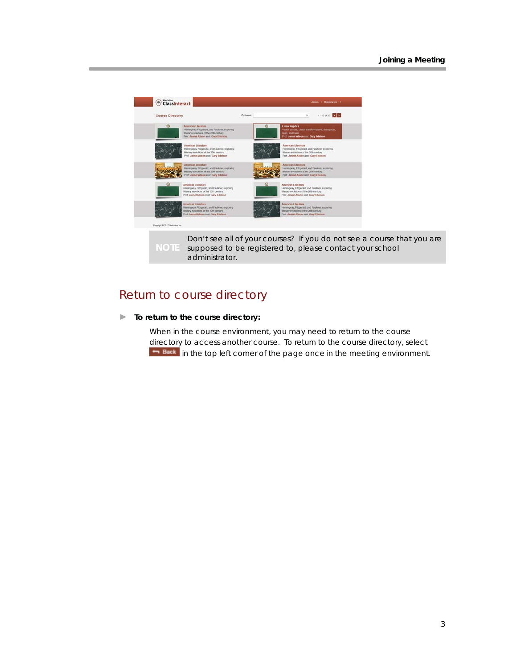

Don't see all of your courses? If you do not see a course that you are supposed to be registered to, please contact your school administrator.

#### Return to course directory

#### **► To return to the course directory:**

When in the course environment, you may need to return to the course directory to access another course. To return to the course directory, select **in Back** in the top left corner of the page once in the meeting environment.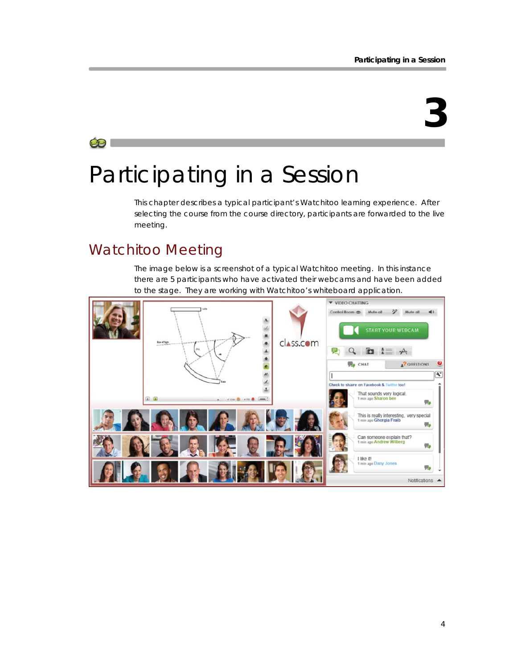# **3**

#### Œ

# Participating in a Session

This chapter describes a typical participant's Watchitoo learning experience. After selecting the course from the course directory, participants are forwarded to the live meeting.

## Watchitoo Meeting

The image below is a screenshot of a typical Watchitoo meeting. In this instance there are 5 participants who have activated their webcams and have been added to the stage. They are working with Watchitoo's whiteboard application.

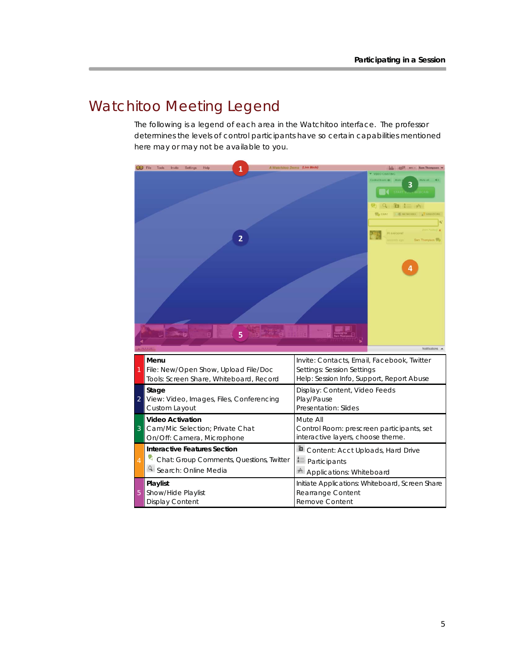## Watchitoo Meeting Legend

The following is a legend of each area in the Watchitoo interface. The professor determines the levels of control participants have so certain capabilities mentioned here may or may not be available to you.

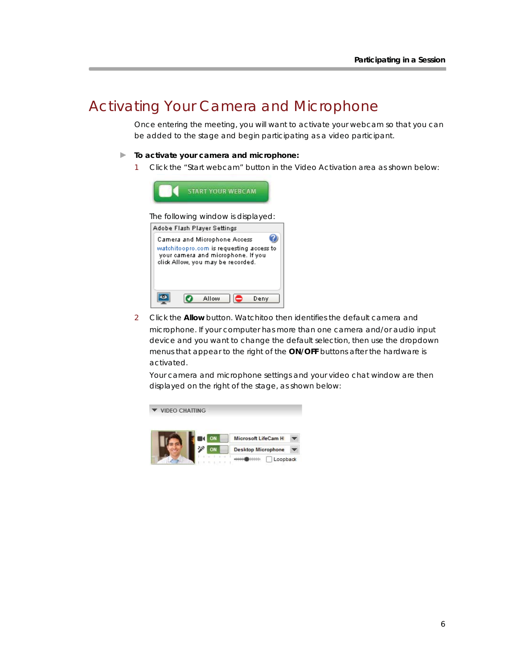## Activating Your Camera and Microphone

Once entering the meeting, you will want to activate your webcam so that you can be added to the stage and begin participating as a video participant.

#### **► To activate your camera and microphone:**

1 Click the "Start webcam" button in the Video Activation area as shown below:



2 Click the **Allow** button. Watchitoo then identifies the default camera and microphone. If your computer has more than one camera and/or audio input device and you want to change the default selection, then use the dropdown menus that appear to the right of the **ON/OFF** buttons after the hardware is activated.

Your camera and microphone settings and your video chat window are then displayed on the right of the stage, as shown below:

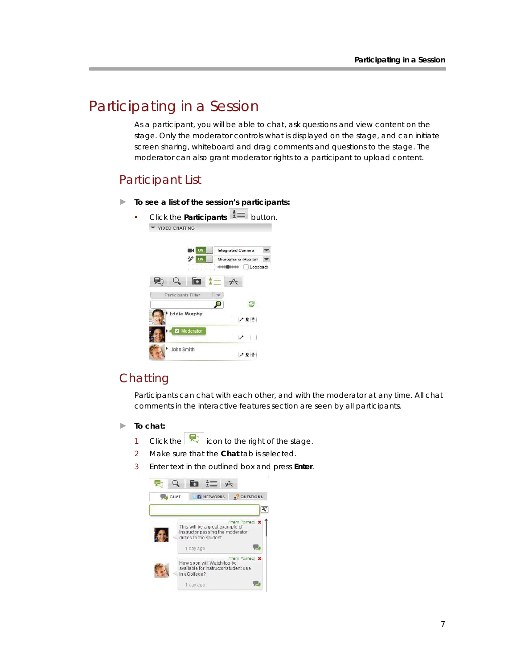## Participating in a Session

As a participant, you will be able to chat, ask questions and view content on the stage. Only the moderator controls what is displayed on the stage, and can initiate screen sharing, whiteboard and drag comments and questions to the stage. The moderator can also grant moderator rights to a participant to upload content.

#### Participant List

**► To see a list of the session's participants:** 

| Click the <b>Participants</b><br><b>VIDEO CHATTING</b> |                            |                            | button.  |
|--------------------------------------------------------|----------------------------|----------------------------|----------|
|                                                        | ON                         | <b>Integrated Camera</b>   |          |
|                                                        | ON<br><b>STAR</b>          | <b>Microphone (Realtek</b> |          |
|                                                        | u n<br>■ 日本(1)             | ministrate<br>$+ + +$      | Loopback |
|                                                        | Œ                          | $\mathbf{z}$               |          |
|                                                        | <b>Participants Filter</b> |                            |          |
|                                                        |                            |                            |          |
|                                                        | <b>Eddie Murphy</b>        | Ŷ.                         |          |
| v                                                      | Moderator                  |                            |          |
|                                                        | John Smith                 |                            |          |

#### **Chatting**

Participants can chat with each other, and with the moderator at any time. All chat comments in the interactive features section are seen by all participants.

- **► To chat:** 
	- 1 Click the  $\overline{R}$  icon to the right of the stage.
	- 2 Make sure that the **Chat** tab is selected.
	- 3 Enter text in the outlined box and press **Enter**.

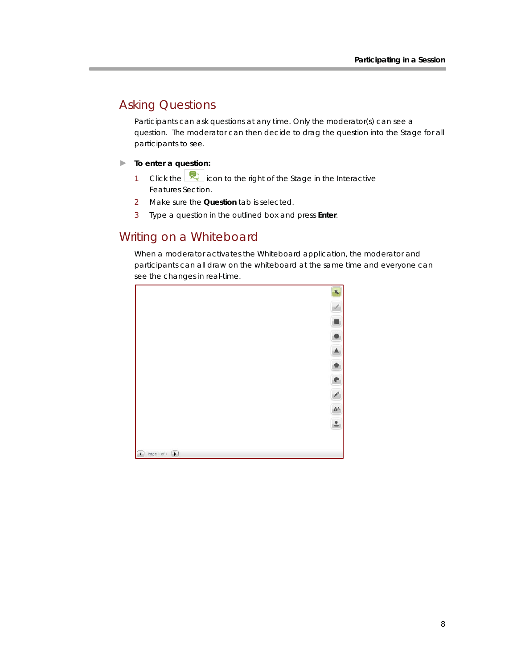### Asking Questions

Participants can ask questions at any time. Only the moderator(s) can see a question. The moderator can then decide to drag the question into the Stage for all participants to see.

#### **► To enter a question:**

- 1 Click the  $\boxed{\mathbb{R}}$  icon to the right of the Stage in the Interactive Features Section.
- 2 Make sure the **Question** tab is selected.
- 3 Type a question in the outlined box and press **Enter**.

#### Writing on a Whiteboard

When a moderator activates the Whiteboard application, the moderator and participants can all draw on the whiteboard at the same time and everyone can see the changes in real-time.

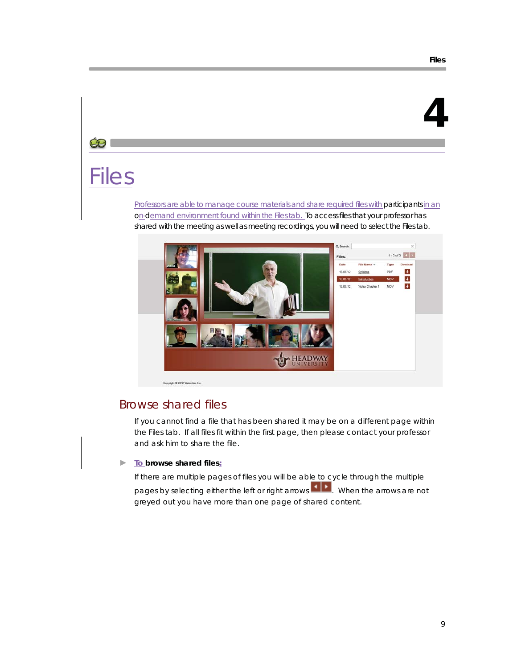# **4**

#### $\bullet$

# Files

Professors are able to manage course materials and share required files with participants in an on-demand environment found within the *Files*tab. To access files that your professor has shared with the meeting as well as meeting recordings, you will need to select the *Files* tab.



Copyright @ 2012 W

#### Browse shared files

If you cannot find a file that has been shared it may be on a different page within the *Files* tab. If all files fit within the first page, then please contact your professor and ask him to share the file.

#### **► To browse shared files:**

If there are multiple pages of files you will be able to cycle through the multiple pages by selecting either the left or right arrows  $\blacksquare$ . When the arrows are not greyed out you have more than one page of shared content.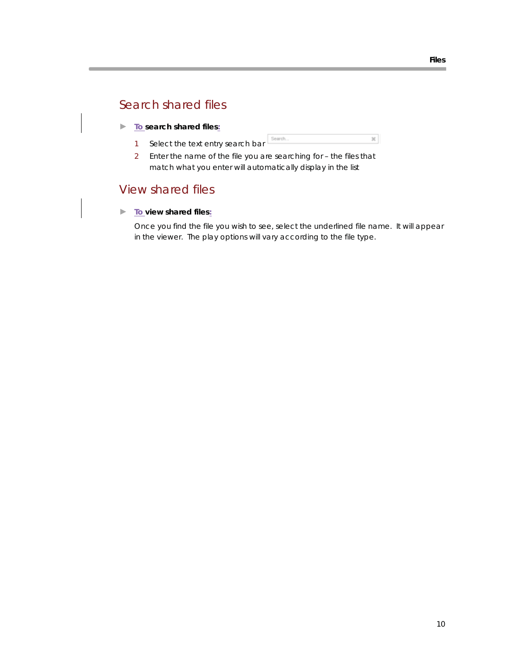### Search shared files

- **► To search shared files:**
	- Search.  $\bowtie$ 1 Select the text entry search bar
	- 2 Enter the name of the file you are searching for the files that match what you enter will automatically display in the list

#### View shared files

**► To view shared files:**

Once you find the file you wish to see, select the underlined file name. It will appear in the viewer. The play options will vary according to the file type.